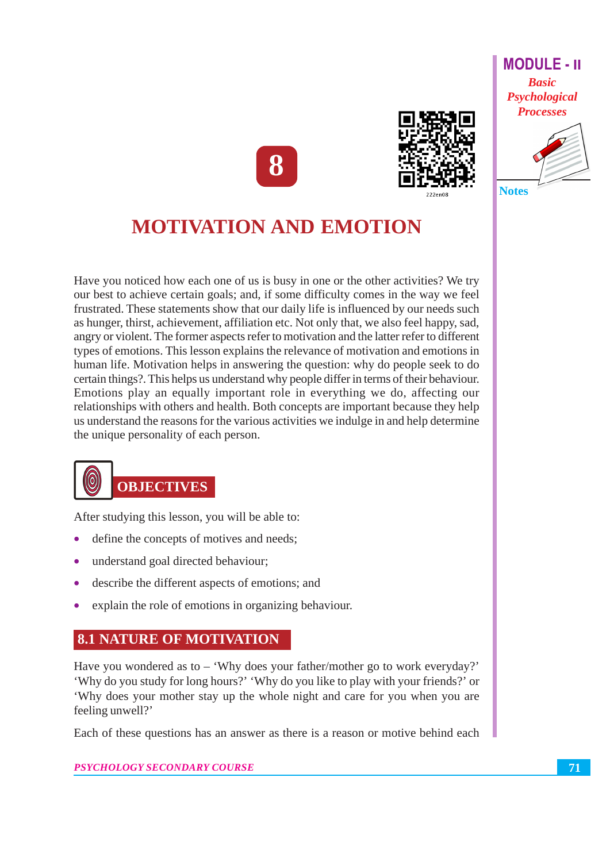





# **MOTIVATION AND EMOTION**

Have you noticed how each one of us is busy in one or the other activities? We try our best to achieve certain goals; and, if some difficulty comes in the way we feel frustrated. These statements show that our daily life is influenced by our needs such as hunger, thirst, achievement, affiliation etc. Not only that, we also feel happy, sad, angry or violent. The former aspects refer to motivation and the latter refer to different types of emotions. This lesson explains the relevance of motivation and emotions in human life. Motivation helps in answering the question: why do people seek to do certain things?. This helps us understand why people differ in terms of their behaviour. Emotions play an equally important role in everything we do, affecting our relationships with others and health. Both concepts are important because they help us understand the reasons for the various activities we indulge in and help determine the unique personality of each person.



After studying this lesson, you will be able to:

- define the concepts of motives and needs;
- understand goal directed behaviour;
- describe the different aspects of emotions; and
- explain the role of emotions in organizing behaviour.

# **8.1 NATURE OF MOTIVATION**

Have you wondered as to  $-$  'Why does your father/mother go to work everyday?' 'Why do you study for long hours?' 'Why do you like to play with your friends?' or 'Why does your mother stay up the whole night and care for you when you are feeling unwell?'

Each of these questions has an answer as there is a reason or motive behind each

PSYCHOLOGY SECONDARY COURSE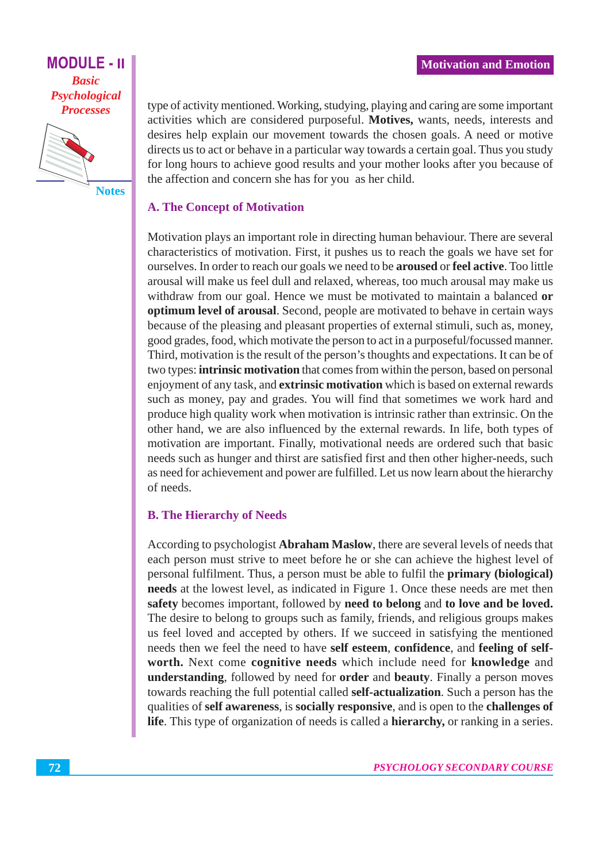

**Notes** 

type of activity mentioned. Working, studying, playing and caring are some important activities which are considered purposeful. Motives, wants, needs, interests and desires help explain our movement towards the chosen goals. A need or motive directs us to act or behave in a particular way towards a certain goal. Thus you study for long hours to achieve good results and your mother looks after you because of the affection and concern she has for you as her child.

#### **A. The Concept of Motivation**

Motivation plays an important role in directing human behaviour. There are several characteristics of motivation. First, it pushes us to reach the goals we have set for ourselves. In order to reach our goals we need to be **aroused** or feel active. Too little arousal will make us feel dull and relaxed, whereas, too much arousal may make us withdraw from our goal. Hence we must be motivated to maintain a balanced or optimum level of arousal. Second, people are motivated to behave in certain ways because of the pleasing and pleasant properties of external stimuli, such as, money, good grades, food, which motivate the person to act in a purposeful/focussed manner. Third, motivation is the result of the person's thoughts and expectations. It can be of two types: **intrinsic motivation** that comes from within the person, based on personal enjoyment of any task, and **extrinsic motivation** which is based on external rewards such as money, pay and grades. You will find that sometimes we work hard and produce high quality work when motivation is intrinsic rather than extrinsic. On the other hand, we are also influenced by the external rewards. In life, both types of motivation are important. Finally, motivational needs are ordered such that basic needs such as hunger and thirst are satisfied first and then other higher-needs, such as need for achievement and power are fulfilled. Let us now learn about the hierarchy of needs.

#### **B. The Hierarchy of Needs**

According to psychologist Abraham Maslow, there are several levels of needs that each person must strive to meet before he or she can achieve the highest level of personal fulfilment. Thus, a person must be able to fulfil the **primary** (biological) needs at the lowest level, as indicated in Figure 1. Once these needs are met then safety becomes important, followed by need to belong and to love and be loved. The desire to belong to groups such as family, friends, and religious groups makes us feel loved and accepted by others. If we succeed in satisfying the mentioned needs then we feel the need to have self esteem, confidence, and feeling of selfworth. Next come cognitive needs which include need for knowledge and understanding, followed by need for order and beauty. Finally a person moves towards reaching the full potential called self-actualization. Such a person has the qualities of self awareness, is socially responsive, and is open to the challenges of life. This type of organization of needs is called a **hierarchy**, or ranking in a series.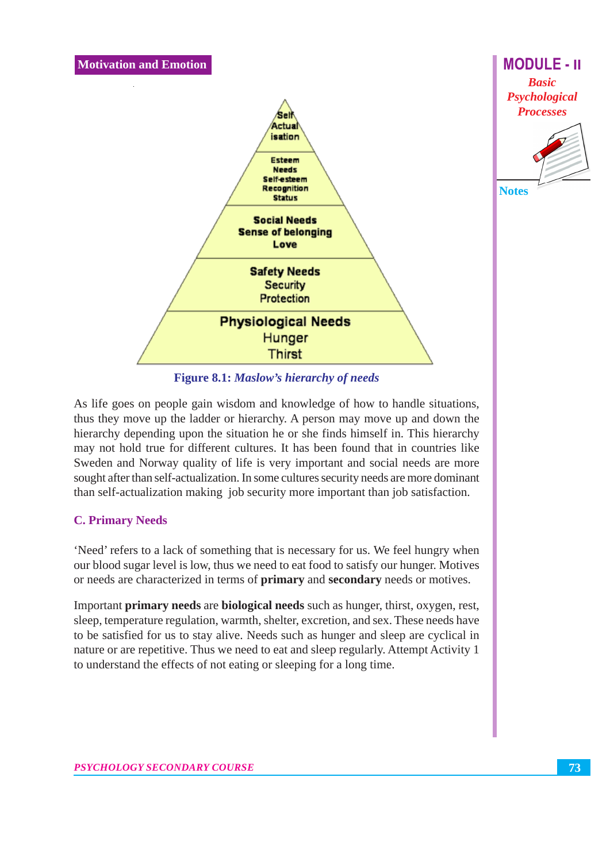

**Figure 8.1: Maslow's hierarchy of needs** 

As life goes on people gain wisdom and knowledge of how to handle situations, thus they move up the ladder or hierarchy. A person may move up and down the hierarchy depending upon the situation he or she finds himself in. This hierarchy may not hold true for different cultures. It has been found that in countries like Sweden and Norway quality of life is very important and social needs are more sought after than self-actualization. In some cultures security needs are more dominant than self-actualization making job security more important than job satisfaction.

### **C. Primary Needs**

'Need' refers to a lack of something that is necessary for us. We feel hungry when our blood sugar level is low, thus we need to eat food to satisfy our hunger. Motives or needs are characterized in terms of primary and secondary needs or motives.

Important **primary needs** are **biological needs** such as hunger, thirst, oxygen, rest, sleep, temperature regulation, warmth, shelter, excretion, and sex. These needs have to be satisfied for us to stay alive. Needs such as hunger and sleep are cyclical in nature or are repetitive. Thus we need to eat and sleep regularly. Attempt Activity 1 to understand the effects of not eating or sleeping for a long time.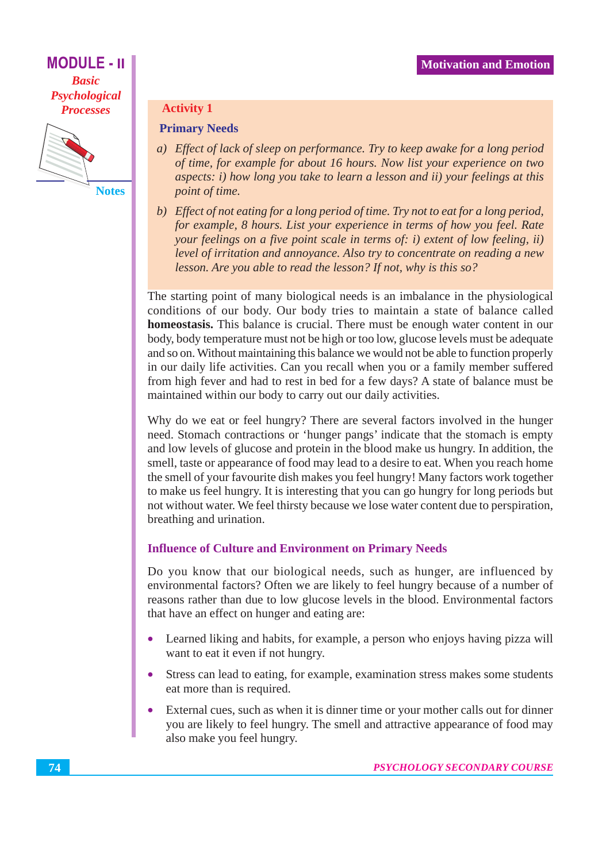

**Notes** 

#### **Activity 1**

#### **Primary Needs**

- a) Effect of lack of sleep on performance. Try to keep awake for a long period of time, for example for about 16 hours. Now list your experience on two aspects: i) how long you take to learn a lesson and ii) your feelings at this point of time.
- b) Effect of not eating for a long period of time. Try not to eat for a long period, for example, 8 hours. List your experience in terms of how you feel. Rate your feelings on a five point scale in terms of: i) extent of low feeling, ii) level of irritation and annoyance. Also try to concentrate on reading a new lesson. Are you able to read the lesson? If not, why is this so?

The starting point of many biological needs is an imbalance in the physiological conditions of our body. Our body tries to maintain a state of balance called homeostasis. This balance is crucial. There must be enough water content in our body, body temperature must not be high or too low, glucose levels must be adequate and so on. Without maintaining this balance we would not be able to function properly in our daily life activities. Can you recall when you or a family member suffered from high fever and had to rest in bed for a few days? A state of balance must be maintained within our body to carry out our daily activities.

Why do we eat or feel hungry? There are several factors involved in the hunger need. Stomach contractions or 'hunger pangs' indicate that the stomach is empty and low levels of glucose and protein in the blood make us hungry. In addition, the smell, taste or appearance of food may lead to a desire to eat. When you reach home the smell of your favourite dish makes you feel hungry! Many factors work together to make us feel hungry. It is interesting that you can go hungry for long periods but not without water. We feel thirsty because we lose water content due to perspiration, breathing and urination.

### **Influence of Culture and Environment on Primary Needs**

Do you know that our biological needs, such as hunger, are influenced by environmental factors? Often we are likely to feel hungry because of a number of reasons rather than due to low glucose levels in the blood. Environmental factors that have an effect on hunger and eating are:

- Learned liking and habits, for example, a person who enjoys having pizza will  $\bullet$ want to eat it even if not hungry.
- Stress can lead to eating, for example, examination stress makes some students eat more than is required.
- External cues, such as when it is dinner time or your mother calls out for dinner you are likely to feel hungry. The smell and attractive appearance of food may also make you feel hungry.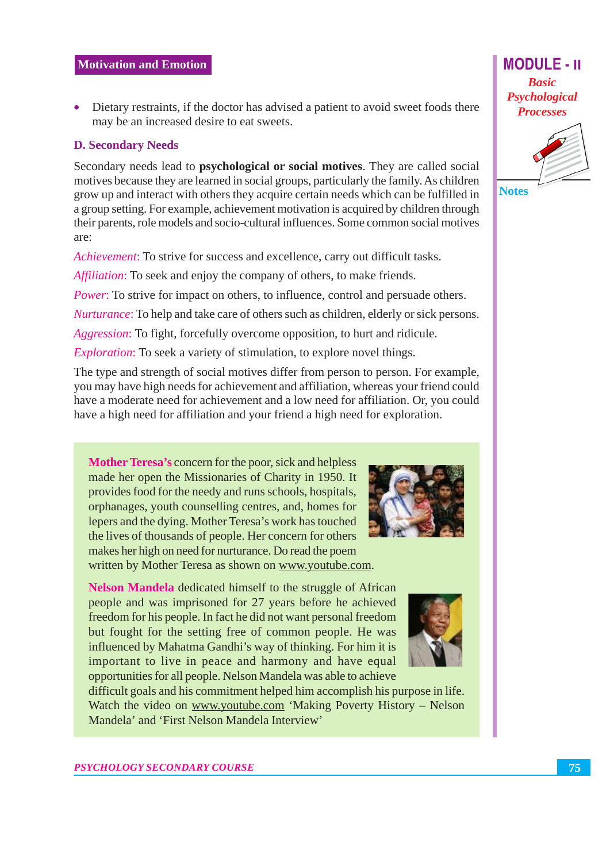• Dietary restraints, if the doctor has advised a patient to avoid sweet foods there may be an increased desire to eat sweets.

#### **D. Secondary Needs**

Secondary needs lead to **psychological or social motives**. They are called social motives because they are learned in social groups, particularly the family. As children grow up and interact with others they acquire certain needs which can be fulfilled in a group setting. For example, achievement motivation is acquired by children through their parents, role models and socio-cultural influences. Some common social motives are:

Achievement: To strive for success and excellence, carry out difficult tasks.

*Affiliation*: To seek and enjoy the company of others, to make friends.

*Power*: To strive for impact on others, to influence, control and persuade others.

Nurturance: To help and take care of others such as children, elderly or sick persons.

Aggression: To fight, forcefully overcome opposition, to hurt and ridicule.

*Exploration:* To seek a variety of stimulation, to explore novel things.

The type and strength of social motives differ from person to person. For example, you may have high needs for achievement and affiliation, whereas your friend could have a moderate need for achievement and a low need for affiliation. Or, you could have a high need for affiliation and your friend a high need for exploration.

**Mother Teresa's concern for the poor, sick and helpless** made her open the Missionaries of Charity in 1950. It provides food for the needy and runs schools, hospitals, orphanages, youth counselling centres, and, homes for lepers and the dying. Mother Teresa's work has touched the lives of thousands of people. Her concern for others makes her high on need for nurturance. Do read the poem written by Mother Teresa as shown on www.youtube.com.

Nelson Mandela dedicated himself to the struggle of African people and was imprisoned for 27 years before he achieved freedom for his people. In fact he did not want personal freedom but fought for the setting free of common people. He was influenced by Mahatma Gandhi's way of thinking. For him it is important to live in peace and harmony and have equal opportunities for all people. Nelson Mandela was able to achieve

difficult goals and his commitment helped him accomplish his purpose in life. Watch the video on www.youtube.com 'Making Poverty History - Nelson Mandela' and 'First Nelson Mandela Interview'





**MODULE - II** 

**Basic** 

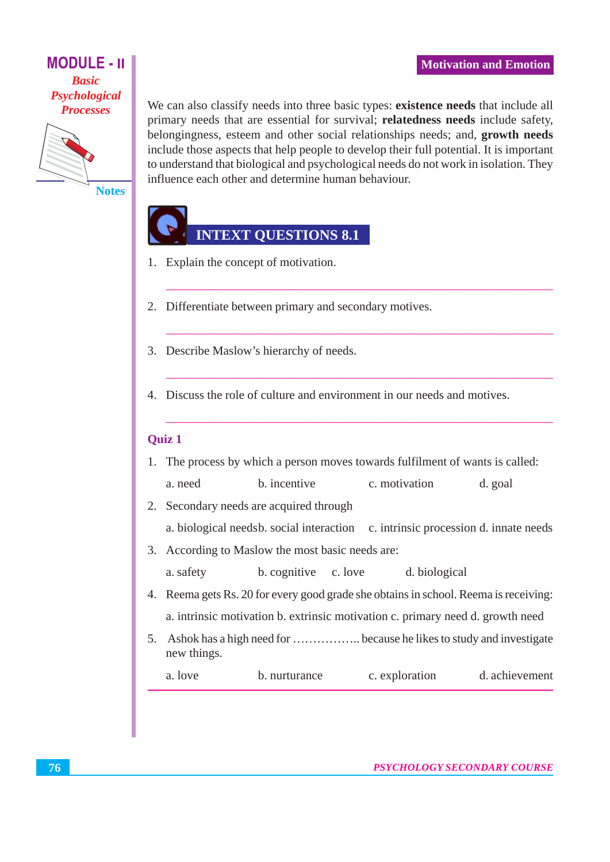

**Notes** 

# **INTEXT QUESTIONS 8.1**

influence each other and determine human behaviour.

- 1. Explain the concept of motivation.
- 2. Differentiate between primary and secondary motives.
- 3. Describe Maslow's hierarchy of needs.
- 4. Discuss the role of culture and environment in our needs and motives.

#### **Ouiz 1**

1. The process by which a person moves towards fulfilment of wants is called:

We can also classify needs into three basic types: existence needs that include all

primary needs that are essential for survival; relatedness needs include safety, belongingness, esteem and other social relationships needs; and, growth needs include those aspects that help people to develop their full potential. It is important to understand that biological and psychological needs do not work in isolation. They

- a need **h** incentive c motivation d. goal
- 2. Secondary needs are acquired through
	- a. biological needsb. social interaction c. intrinsic procession d. innate needs
- 3. According to Maslow the most basic needs are:
	- b. cognitive c. love d. biological a. safety
- 4. Reema gets Rs. 20 for every good grade she obtains in school. Reema is receiving: a. intrinsic motivation b. extrinsic motivation c. primary need d. growth need
- 5. Ashok has a high need for .................. because he likes to study and investigate new things.

| a. love | b. nurturance | c. exploration | d. achievement |
|---------|---------------|----------------|----------------|
|---------|---------------|----------------|----------------|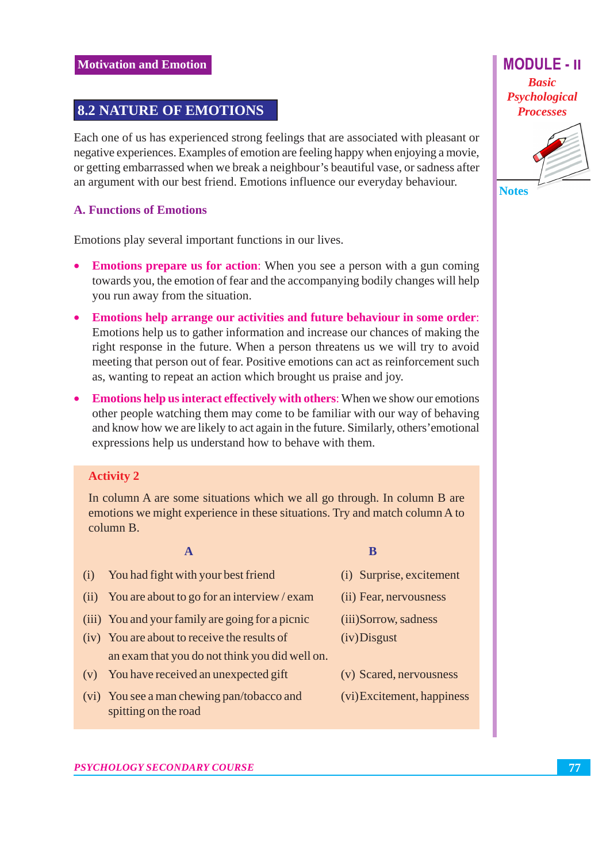# **8.2 NATURE OF EMOTIONS**

Each one of us has experienced strong feelings that are associated with pleasant or negative experiences. Examples of emotion are feeling happy when enjoying a movie, or getting embarrassed when we break a neighbour's beautiful vase, or sadness after an argument with our best friend. Emotions influence our everyday behaviour.

#### **A. Functions of Emotions**

Emotions play several important functions in our lives.

- **Emotions prepare us for action:** When you see a person with a gun coming  $\bullet$ towards you, the emotion of fear and the accompanying bodily changes will help you run away from the situation.
- Emotions help arrange our activities and future behaviour in some order: Emotions help us to gather information and increase our chances of making the right response in the future. When a person threatens us we will try to avoid meeting that person out of fear. Positive emotions can act as reinforcement such as, wanting to repeat an action which brought us praise and joy.
- **Emotions help us interact effectively with others:** When we show our emotions other people watching them may come to be familiar with our way of behaving and know how we are likely to act again in the future. Similarly, others' emotional expressions help us understand how to behave with them.

#### **Activity 2**

In column A are some situations which we all go through. In column B are emotions we might experience in these situations. Try and match column A to column B.

#### $\mathbf{A}$

- $(i)$ You had fight with your best friend (ii) You are about to go for an interview / exam (iii) You and your family are going for a picnic (iv) You are about to receive the results of an exam that you do not think you did well on. (v) You have received an unexpected gift
- (vi) You see a man chewing pan/tobacco and spitting on the road
- (i) Surprise, excitement
- (ii) Fear, nervousness
- (iii)Sorrow, sadness
- $(iv)$ Disgust

B

- (v) Scared, nervousness
- (vi) Excitement, happiness

**Basic** Psychological **Processes** 

**MODULE - II** 

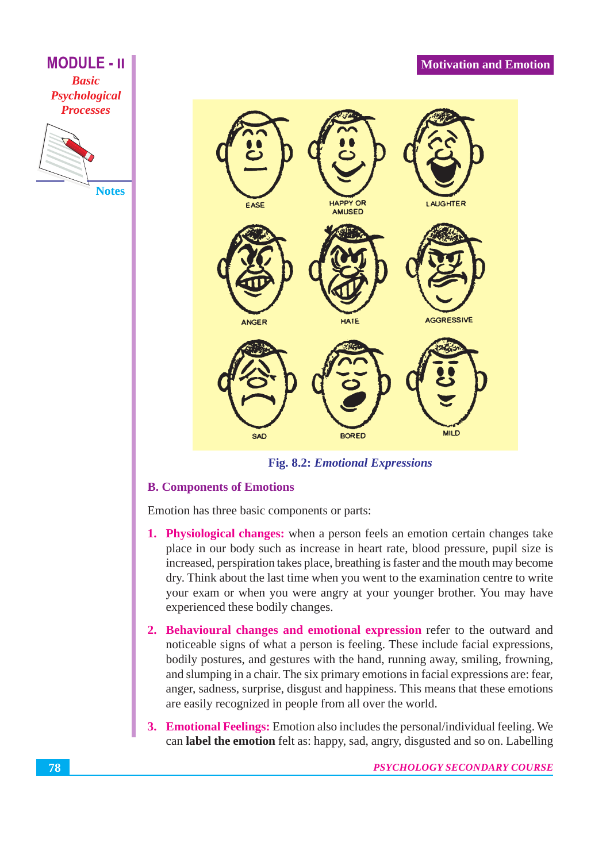### **Motivation and Emotion**



**Fig. 8.2: Emotional Expressions** 

### **B. Components of Emotions**

Emotion has three basic components or parts:

- 1. Physiological changes: when a person feels an emotion certain changes take place in our body such as increase in heart rate, blood pressure, pupil size is increased, perspiration takes place, breathing is faster and the mouth may become dry. Think about the last time when you went to the examination centre to write your exam or when you were angry at your younger brother. You may have experienced these bodily changes.
- 2. Behavioural changes and emotional expression refer to the outward and noticeable signs of what a person is feeling. These include facial expressions, bodily postures, and gestures with the hand, running away, smiling, frowning, and slumping in a chair. The six primary emotions in facial expressions are: fear, anger, sadness, surprise, disgust and happiness. This means that these emotions are easily recognized in people from all over the world.
- 3. Emotional Feelings: Emotion also includes the personal/individual feeling. We can label the emotion felt as: happy, sad, angry, disgusted and so on. Labelling

**MODULE - II** 

**Basic** Psychological **Processes** 

**Notes**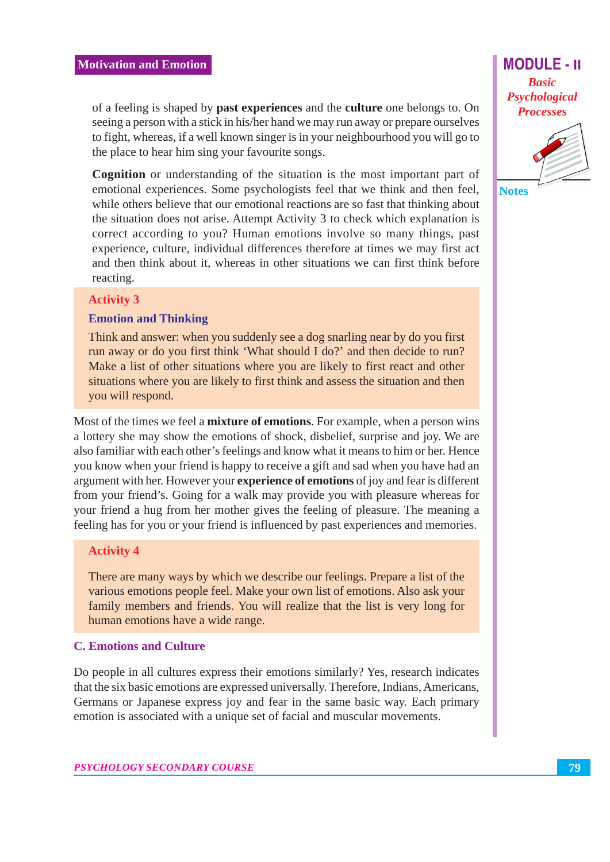of a feeling is shaped by **past experiences** and the **culture** one belongs to. On seeing a person with a stick in his/her hand we may run away or prepare ourselves to fight, whereas, if a well known singer is in your neighbourhood you will go to the place to hear him sing your favourite songs.

**Cognition** or understanding of the situation is the most important part of emotional experiences. Some psychologists feel that we think and then feel, while others believe that our emotional reactions are so fast that thinking about the situation does not arise. Attempt Activity 3 to check which explanation is correct according to you? Human emotions involve so many things, past experience, culture, individual differences therefore at times we may first act and then think about it, whereas in other situations we can first think before reacting.

#### **Activity 3**

#### **Emotion and Thinking**

Think and answer: when you suddenly see a dog snarling near by do you first run away or do you first think 'What should I do?' and then decide to run? Make a list of other situations where you are likely to first react and other situations where you are likely to first think and assess the situation and then you will respond.

Most of the times we feel a **mixture of emotions**. For example, when a person wins a lottery she may show the emotions of shock, disbelief, surprise and joy. We are also familiar with each other's feelings and know what it means to him or her. Hence you know when your friend is happy to receive a gift and sad when you have had an argument with her. However your **experience of emotions** of joy and fear is different from your friend's. Going for a walk may provide you with pleasure whereas for your friend a hug from her mother gives the feeling of pleasure. The meaning a feeling has for you or your friend is influenced by past experiences and memories.

#### **Activity 4**

There are many ways by which we describe our feelings. Prepare a list of the various emotions people feel. Make your own list of emotions. Also ask your family members and friends. You will realize that the list is very long for human emotions have a wide range.

#### **C. Emotions and Culture**

Do people in all cultures express their emotions similarly? Yes, research indicates that the six basic emotions are expressed universally. Therefore, Indians, Americans, Germans or Japanese express joy and fear in the same basic way. Each primary emotion is associated with a unique set of facial and muscular movements.

**MODULE - II Basic** Psychological **Processes** 



79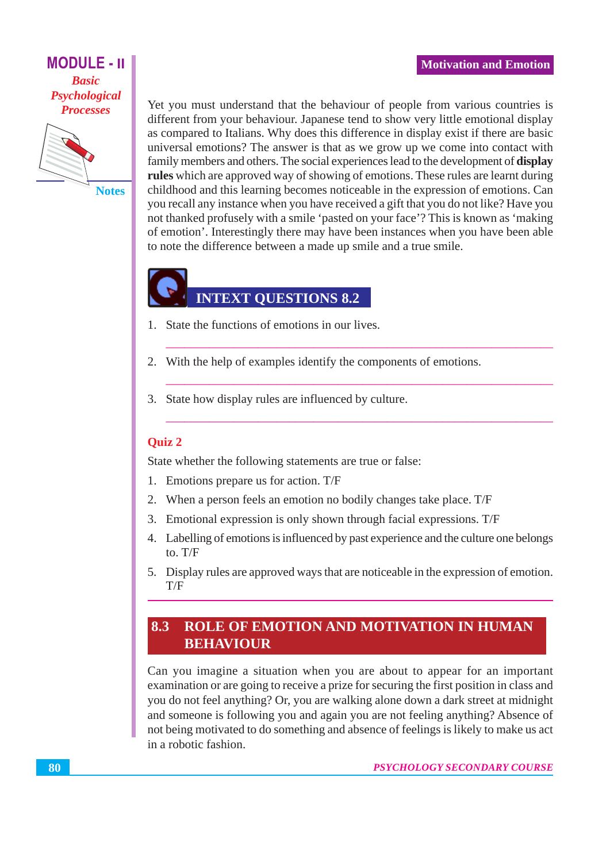

**Notes** 

Yet you must understand that the behaviour of people from various countries is different from your behaviour. Japanese tend to show very little emotional display as compared to Italians. Why does this difference in display exist if there are basic universal emotions? The answer is that as we grow up we come into contact with family members and others. The social experiences lead to the development of display rules which are approved way of showing of emotions. These rules are learnt during childhood and this learning becomes noticeable in the expression of emotions. Can you recall any instance when you have received a gift that you do not like? Have you not thanked profusely with a smile 'pasted on your face'? This is known as 'making of emotion'. Interestingly there may have been instances when you have been able to note the difference between a made up smile and a true smile.

# **INTEXT QUESTIONS 8.2**

- 1. State the functions of emotions in our lives.
- 2. With the help of examples identify the components of emotions.
- 3. State how display rules are influenced by culture.

#### **Ouiz 2**

State whether the following statements are true or false:

- 1. Emotions prepare us for action. T/F
- 2. When a person feels an emotion no bodily changes take place. T/F
- 3. Emotional expression is only shown through facial expressions. T/F
- 4. Labelling of emotions is influenced by past experience and the culture one belongs to.  $T/F$
- 5. Display rules are approved ways that are noticeable in the expression of emotion.  $T/F$

#### 8.3 **ROLE OF EMOTION AND MOTIVATION IN HUMAN BEHAVIOUR**

Can you imagine a situation when you are about to appear for an important examination or are going to receive a prize for securing the first position in class and you do not feel anything? Or, you are walking alone down a dark street at midnight and someone is following you and again you are not feeling anything? Absence of not being motivated to do something and absence of feelings is likely to make us act in a robotic fashion.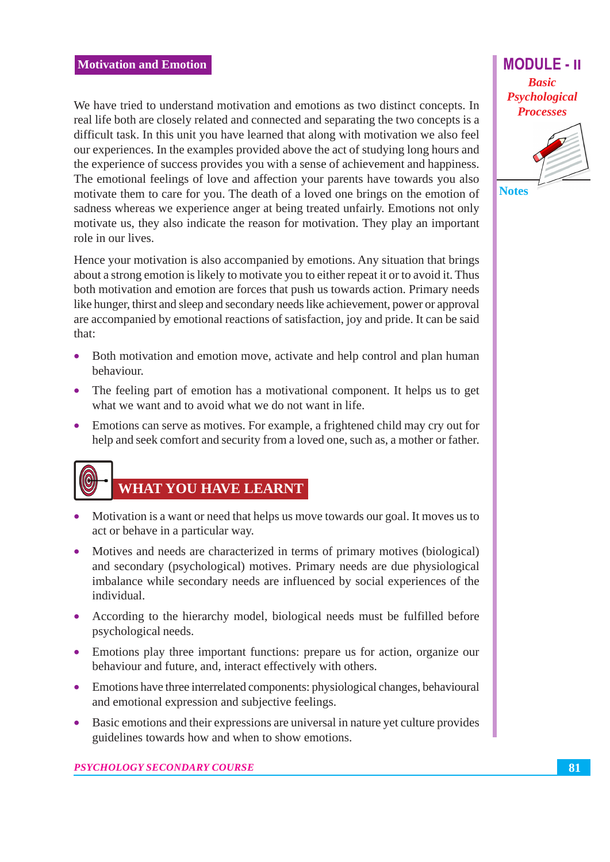We have tried to understand motivation and emotions as two distinct concepts. In real life both are closely related and connected and separating the two concepts is a difficult task. In this unit you have learned that along with motivation we also feel our experiences. In the examples provided above the act of studying long hours and the experience of success provides you with a sense of achievement and happiness. The emotional feelings of love and affection your parents have towards you also motivate them to care for you. The death of a loved one brings on the emotion of sadness whereas we experience anger at being treated unfairly. Emotions not only motivate us, they also indicate the reason for motivation. They play an important role in our lives.

Hence your motivation is also accompanied by emotions. Any situation that brings about a strong emotion is likely to motivate you to either repeat it or to avoid it. Thus both motivation and emotion are forces that push us towards action. Primary needs like hunger, thirst and sleep and secondary needs like achievement, power or approval are accompanied by emotional reactions of satisfaction, joy and pride. It can be said that:

- Both motivation and emotion move, activate and help control and plan human behaviour.
- The feeling part of emotion has a motivational component. It helps us to get what we want and to avoid what we do not want in life.
- Emotions can serve as motives. For example, a frightened child may cry out for help and seek comfort and security from a loved one, such as, a mother or father.



# **WHAT YOU HAVE LEARNT**

- Motivation is a want or need that helps us move towards our goal. It moves us to act or behave in a particular way.
- Motives and needs are characterized in terms of primary motives (biological) and secondary (psychological) motives. Primary needs are due physiological imbalance while secondary needs are influenced by social experiences of the individual.
- According to the hierarchy model, biological needs must be fulfilled before psychological needs.
- Emotions play three important functions: prepare us for action, organize our behaviour and future, and, interact effectively with others.
- Emotions have three interrelated components: physiological changes, behavioural and emotional expression and subjective feelings.
- Basic emotions and their expressions are universal in nature yet culture provides  $\bullet$ guidelines towards how and when to show emotions.

**MODULE - II Basic** Psychological **Processes** 

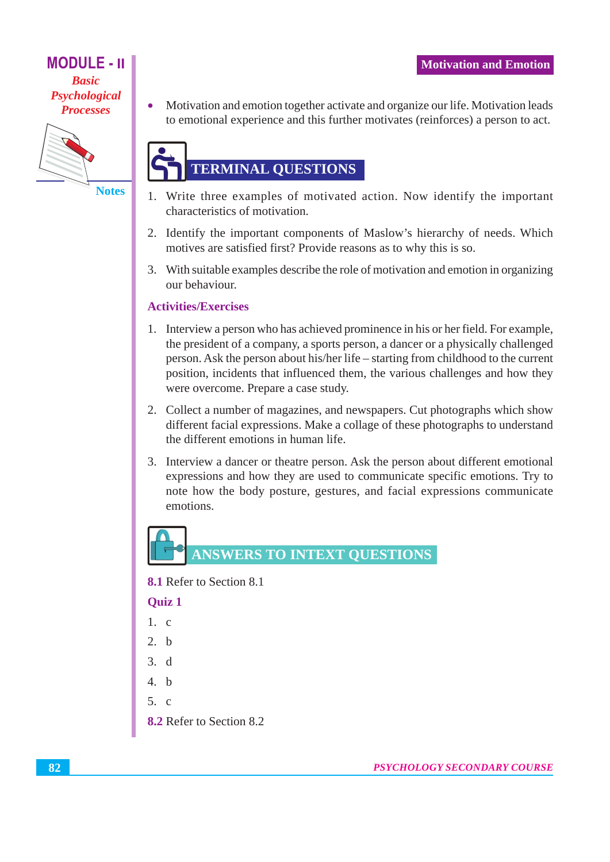

**Notes** 

 $\bullet$ 

Motivation and emotion together activate and organize our life. Motivation leads to emotional experience and this further motivates (reinforces) a person to act.

# **TERMINAL QUESTIONS**

- 1. Write three examples of motivated action. Now identify the important characteristics of motivation.
- 2. Identify the important components of Maslow's hierarchy of needs. Which motives are satisfied first? Provide reasons as to why this is so.
- 3. With suitable examples describe the role of motivation and emotion in organizing our behaviour.

### **Activities/Exercises**

- 1. Interview a person who has achieved prominence in his or her field. For example, the president of a company, a sports person, a dancer or a physically challenged person. Ask the person about his/her life – starting from childhood to the current position, incidents that influenced them, the various challenges and how they were overcome. Prepare a case study.
- 2. Collect a number of magazines, and newspapers. Cut photographs which show different facial expressions. Make a collage of these photographs to understand the different emotions in human life.
- 3. Interview a dancer or theatre person. Ask the person about different emotional expressions and how they are used to communicate specific emotions. Try to note how the body posture, gestures, and facial expressions communicate emotions.



8.1 Refer to Section 8.1

**Ouiz 1** 

- $1 \quad c$
- $2-h$
- $3<sub>d</sub>$
- $4-h$
- $5 \text{ c}$
- 8.2 Refer to Section 8.2